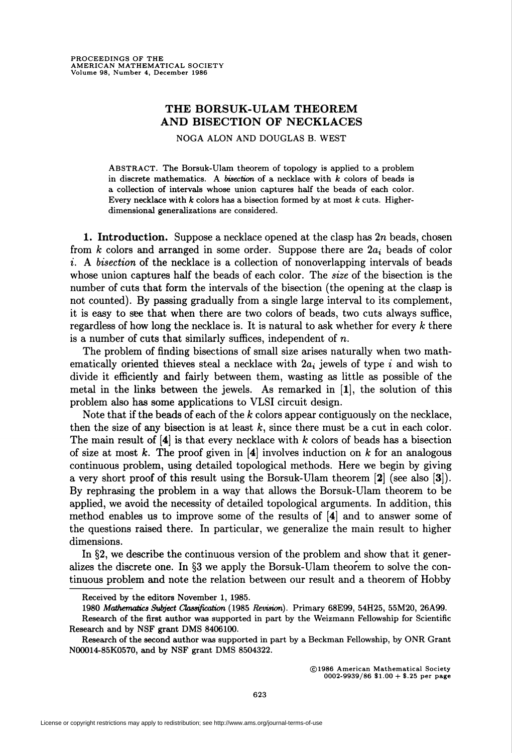## THE BORSUK-ULAM THEOREM AND BISECTION OF NECKLACES

NOGA ALON AND DOUGLAS B. WEST

ABSTRACT. The Borsuk-Ulam theorem of topology is applied to a problem in discrete mathematics. A bisection of a necklace with  $k$  colors of beads is a collection of intervals whose union captures half the beads of each color. Every necklace with  $k$  colors has a bisection formed by at most  $k$  cuts. Higherdimensional generalizations are considered.

**1. Introduction.** Suppose a necklace opened at the clasp has  $2n$  beads, chosen from k colors and arranged in some order. Suppose there are  $2a_i$  beads of color i. A bisection of the necklace is a collection of nonoverlapping intervals of beads whose union captures half the beads of each color. The *size* of the bisection is the number of cuts that form the intervals of the bisection (the opening at the clasp is not counted). By passing gradually from a single large interval to its complement, it is easy to see that when there are two colors of beads, two cuts always suffice, regardless of how long the necklace is. It is natural to ask whether for every  $k$  there is a number of cuts that similarly suffices, independent of  $n$ .

The problem of finding bisections of small size arises naturally when two mathematically oriented thieves steal a necklace with  $2a_i$  jewels of type i and wish to divide it efficiently and fairly between them, wasting as little as possible of the metal in the links between the jewels. As remarked in [1], the solution of this problem also has some applications to VLSI circuit design.

Note that if the beads of each of the  $k$  colors appear contiguously on the necklace, then the size of any bisection is at least  $k$ , since there must be a cut in each color. The main result of  $[4]$  is that every necklace with k colors of beads has a bisection of size at most k. The proof given in  $[4]$  involves induction on k for an analogous continuous problem, using detailed topological methods. Here we begin by giving a very short proof of this result using the Borsuk-Ulam theorem [2] (see also [3]). By rephrasing the problem in a way that allows the Borsuk-Ulam theorem to be applied, we avoid the necessity of detailed topological arguments. In addition, this method enables us to improve some of the results of [4] and to answer some of the questions raised there. In particular, we generalize the main result to higher dimensions.

In §2, we describe the continuous version of the problem and show that it generalizes the discrete one. In §3 we apply the Borsuk-Ulam theorem to solve the continuous problem and note the relation between our result and a theorem of Hobby

©1986 American Mathematical Society 0002-9939/86 \$1.00 + \$.25 per page

Received by the editors November 1, 1985.

<sup>1980</sup> Mathematics Subject Classification (1985 Revision). Primary 68E99, 54H25, 55M20, 26A99.

Research of the first author was supported in part by the Weizmann Fellowship for Scientific Research and by NSF grant DMS 8406100.

Research of the second author was supported in part by a Beckman Fellowship, by ONR Grant N00014-85K0570, and by NSF grant DMS 8504322.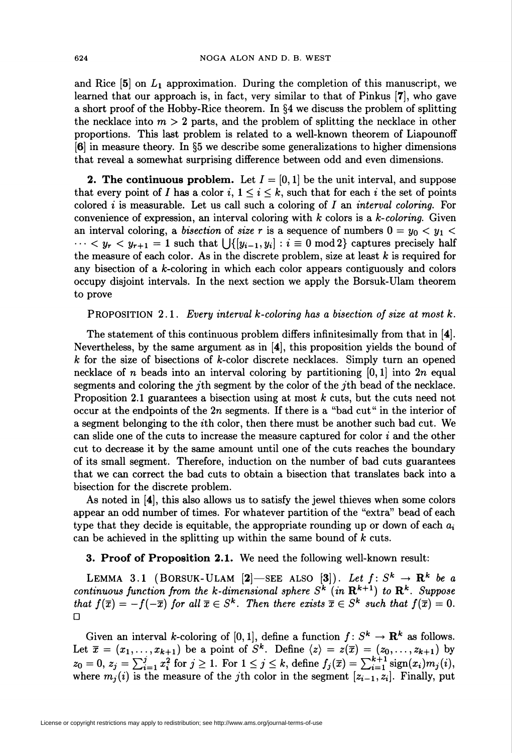and Rice  $[5]$  on  $L_1$  approximation. During the completion of this manuscript, we learned that our approach is, in fact, very similar to that of Pinkus [7], who gave a short proof of the Hobby-Rice theorem. In §4 we discuss the problem of splitting the necklace into  $m > 2$  parts, and the problem of splitting the necklace in other proportions. This last problem is related to a well-known theorem of Liapounoff [6] in measure theory. In §5 we describe some generalizations to higher dimensions that reveal a somewhat surprising difference between odd and even dimensions.

**2. The continuous problem.** Let  $I = [0, 1]$  be the unit interval, and suppose that every point of I has a color i,  $1 \leq i \leq k$ , such that for each i the set of points colored i is measurable. Let us call such a coloring of I an interval coloring. For convenience of expression, an interval coloring with  $k$  colors is a  $k$ -coloring. Given an interval coloring, a bisection of size r is a sequence of numbers  $0 = y_0 < y_1$  $\cdots < y_r < y_{r+1} = 1$  such that  $\bigcup \{y_{i-1}, y_i\} : i \equiv 0 \mod 2\}$  captures precisely half the measure of each color. As in the discrete problem, size at least  $k$  is required for any bisection of a  $k$ -coloring in which each color appears contiguously and colors occupy disjoint intervals. In the next section we apply the Borsuk-Ulam theorem to prove

**PROPOSITION 2.1.** Every interval k-coloring has a bisection of size at most k.

The statement of this continuous problem differs infinitesimally from that in [4]. Nevertheless, by the same argument as in [4], this proposition yields the bound of  $k$  for the size of bisections of  $k$ -color discrete necklaces. Simply turn an opened necklace of n beads into an interval coloring by partitioning  $[0,1]$  into  $2n$  equal segments and coloring the jth segment by the color of the jth bead of the necklace. Proposition 2.1 guarantees a bisection using at most  $k$  cuts, but the cuts need not occur at the endpoints of the 2n segments. If there is a "bad cut " in the interior of a segment belonging to the ith color, then there must be another such bad cut. We can slide one of the cuts to increase the measure captured for color  $i$  and the other cut to decrease it by the same amount until one of the cuts reaches the boundary of its small segment. Therefore, induction on the number of bad cuts guarantees that we can correct the bad cuts to obtain a bisection that translates back into a bisection for the discrete problem.

As noted in [4], this also allows us to satisfy the jewel thieves when some colors appear an odd number of times. For whatever partition of the "extra" bead of each type that they decide is equitable, the appropriate rounding up or down of each  $a_i$ can be achieved in the splitting up within the same bound of  $k$  cuts.

3. Proof of Proposition 2.1. We need the following well-known result:

LEMMA 3.1 (BORSUK-ULAM [2]—SEE ALSO [3]). Let  $f\colon S^{\bm{k}} \to \mathbf{R}^{\bm{k}}$  be a continuous function from the k-dimensional sphere  $S^k$  (in  $\mathbf{R}^{k+1}$ ) to  $\mathbf{R}^k$ . Suppos that  $f(\overline{x}) = -f(-\overline{x})$  for all  $\overline{x} \in S^k$ . Then there exists  $\overline{x} \in S^k$  such that  $f(\overline{x}) = 0$ .  $\Box$ 

Given an interval k-coloring of [0,1], define a function  $f: S^k \to \mathbf{R}^k$  as follows. Let  $\bar{x} = (x_1, \ldots, x_{k+1})$  be a point of  $S^k$ . Define  $\langle z \rangle = z(\bar{x}) = (z_0, \ldots, z_{k+1})$  by  $z_0 = 0, z_j = \sum_{i=1}^j x_i^2$  for  $j \ge 1$ . For  $1 \le j \le k$ , define  $f_j(\overline{x}) = \sum_{i=1}^{k+1} sign(x_i)m_j(i)$ , where  $m_i(i)$  is the measure of the jth color in the segment  $[z_{i-1}, z_i]$ . Finally, put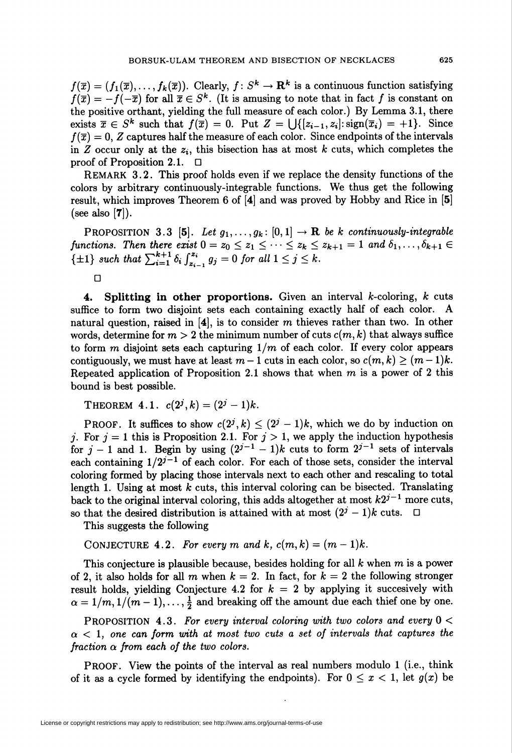$f(\overline{x}) = (f_1(\overline{x}),..., f_k(\overline{x}))$ . Clearly,  $f: S^k \to \mathbb{R}^k$  is a continuous function satisfying  $f(\overline{x}) = -f(-\overline{x})$  for all  $\overline{x} \in S^k$ . (It is amusing to note that in fact f is constant on the positive orthant, yielding the full measure of each color.) By Lemma 3.1, there exists  $\overline{x} \in S^k$  such that  $f(\overline{x}) = 0$ . Put  $Z = \bigcup \{[z_{i-1}, z_i] : \text{sign}(\overline{x}_i) = +1\}$ . Since  $f(\overline{x}) = 0$ , Z captures half the measure of each color. Since endpoints of the intervals in Z occur only at the  $z_i$ , this bisection has at most k cuts, which completes the proof of Proposition 2.1.  $\Box$ 

REMARK 3.2. This proof holds even if we replace the density functions of the colors by arbitrary continuously-integrable functions. We thus get the following result, which improves Theorem 6 of [4] and was proved by Hobby and Rice in [5] (see also  $[7]$ ).

PROPOSITION 3.3 [5]. Let  $g_1, \ldots, g_k : [0,1] \rightarrow \mathbb{R}$  be k continuously-integrable functions. Then there exist  $0 = z_0 \leq z_1 \leq \cdots \leq z_k \leq z_{k+1} = 1$  and  $\delta_1, \ldots, \delta_{k+1} \in$  $\{\pm 1\}$  such that  $\sum_{i=1}^{k+1} \delta_i \int_{z_{i-1}}^{z_i} g_j = 0$  for all  $1 \leq j \leq k$ .

4. Splitting in other proportions. Given an interval  $k$ -coloring,  $k$  cuts suffice to form two disjoint sets each containing exactly half of each color. A natural question, raised in  $[4]$ , is to consider m thieves rather than two. In other words, determine for  $m > 2$  the minimum number of cuts  $c(m, k)$  that always suffice to form m disjoint sets each capturing  $1/m$  of each color. If every color appears contiguously, we must have at least  $m-1$  cuts in each color, so  $c(m, k) \ge (m-1)k$ . Repeated application of Proposition 2.1 shows that when  $m$  is a power of 2 this bound is best possible.

THEOREM 4.1.  $c(2^j, k) = (2^j - 1)k$ .

**PROOF.** It suffices to show  $c(2^j, k) \leq (2^j - 1)k$ , which we do by induction on j. For  $j = 1$  this is Proposition 2.1. For  $j > 1$ , we apply the induction hypothesis for  $j-1$  and 1. Begin by using  $(2^{j-1} - 1)k$  cuts to form  $2^{j-1}$  sets of intervals each containing  $1/2^{j-1}$  of each color. For each of those sets, consider the interval coloring formed by placing those intervals next to each other and rescaling to total length 1. Using at most  $k$  cuts, this interval coloring can be bisected. Translating back to the original interval coloring, this adds altogether at most  $k2^{j-1}$  more cuts, so that the desired distribution is attained with at most  $(2^{j} - 1)k$  cuts.  $\Box$ 

This suggests the following

CONJECTURE 4.2. For every m and k,  $c(m,k) = (m-1)k$ .

This conjecture is plausible because, besides holding for all  $k$  when  $m$  is a power of 2, it also holds for all m when  $k = 2$ . In fact, for  $k = 2$  the following stronger result holds, yielding Conjecture 4.2 for  $k = 2$  by applying it succesively with  $\alpha = 1/m, 1/(m-1), \ldots, \frac{1}{2}$  and breaking off the amount due each thief one by one.

PROPOSITION 4.3. For every interval coloring with two colors and every  $0 <$  $\alpha$  < 1, one can form with at most two cuts a set of intervals that captures the fraction  $\alpha$  from each of the two colors.

PROOF. View the points of the interval as real numbers modulo 1 (i.e., think of it as a cycle formed by identifying the endpoints). For  $0 \leq x < 1$ , let  $g(x)$  be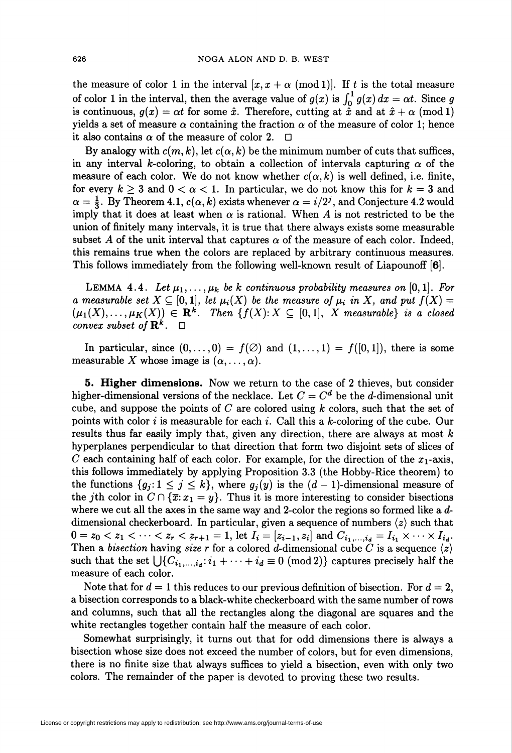the measure of color 1 in the interval  $[x, x + \alpha \pmod{1}]$ . If t is the total measure of color 1 in the interval, then the average value of  $g(x)$  is  $\int_0^1 g(x) dx = \alpha t$ . Since g is continuous,  $g(x) = \alpha t$  for some  $\hat{x}$ . Therefore, cutting at  $\hat{x}$  and at  $\hat{x} + \alpha$  (mod 1) yields a set of measure  $\alpha$  containing the fraction  $\alpha$  of the measure of color 1; hence it also contains  $\alpha$  of the measure of color 2.  $\Box$ 

By analogy with  $c(m, k)$ , let  $c(\alpha, k)$  be the minimum number of cuts that suffices, in any interval k-coloring, to obtain a collection of intervals capturing  $\alpha$  of the measure of each color. We do not know whether  $c(\alpha, k)$  is well defined, i.e. finite, for every  $k \geq 3$  and  $0 < \alpha < 1$ . In particular, we do not know this for  $k = 3$  and  $\alpha = \frac{1}{3}$ . By Theorem 4.1,  $c(\alpha, k)$  exists whenever  $\alpha = i/2^{j}$ , and Conjecture 4.2 would imply that it does at least when  $\alpha$  is rational. When A is not restricted to be the union of finitely many intervals, it is true that there always exists some measurable subset A of the unit interval that captures  $\alpha$  of the measure of each color. Indeed, this remains true when the colors are replaced by arbitrary continuous measures. This follows immediately from the following well-known result of Liapounoff [6].

LEMMA 4.4. Let  $\mu_1, \ldots, \mu_k$  be k continuous probability measures on [0,1]. For a measurable set  $X \subseteq [0,1]$ , let  $\mu_i(X)$  be the measure of  $\mu_i$  in X, and put  $f(X) =$  $(\mu_1(X),\ldots,\mu_K(X)) \in \mathbf{R}^k$ . Then  $\{f(X): X \subseteq [0,1], X$  measurable is a closed convex subset of  $\mathbf{R}^k$ .  $\Box$ 

In particular, since  $(0, \ldots, 0) = f(\emptyset)$  and  $(1, \ldots, 1) = f([0,1])$ , there is some measurable X whose image is  $(\alpha, \ldots, \alpha)$ .

**5. Higher dimensions.** Now we return to the case of 2 thieves, but consider higher-dimensional versions of the necklace. Let  $C = C<sup>d</sup>$  be the *d*-dimensional unit cube, and suppose the points of  $C$  are colored using  $k$  colors, such that the set of points with color i is measurable for each i. Call this a k-coloring of the cube. Our results thus far easily imply that, given any direction, there are always at most  $k$ hyperplanes perpendicular to that direction that form two disjoint sets of slices of C each containing half of each color. For example, for the direction of the  $x_1$ -axis, this follows immediately by applying Proposition 3.3 (the Hobby-Rice theorem) to the functions  $\{g_j: 1 \leq j \leq k\}$ , where  $g_j(y)$  is the  $(d-1)$ -dimensional measure of the jth color in  $C \cap {\overline{x}}: x_1 = y$ . Thus it is more interesting to consider bisections where we cut all the axes in the same way and 2-color the regions so formed like a ddimensional checkerboard. In particular, given a sequence of numbers  $\langle z \rangle$  such that  $0 = z_0 < z_1 < \cdots < z_r < z_{r+1} = 1$ , let  $I_i = [z_{i-1}, z_i]$  and  $C_{i_1,\ldots,i_d} = I_{i_1} \times \cdots \times I_{i_d}$ . Then a bisection having size r for a colored d-dimensional cube C is a sequence  $\langle z \rangle$ such that the set  $\bigcup \{C_{i_1,\ldots,i_d}:i_1+\cdots+i_d\equiv 0\pmod{2}\}$  captures precisely half the measure of each color.

Note that for  $d = 1$  this reduces to our previous definition of bisection. For  $d = 2$ , a bisection corresponds to a black-white checkerboard with the same number of rows and columns, such that all the rectangles along the diagonal are squares and the white rectangles together contain half the measure of each color.

Somewhat surprisingly, it turns out that for odd dimensions there is always a bisection whose size does not exceed the number of colors, but for even dimensions, there is no finite size that always suffices to yield a bisection, even with only two colors. The remainder of the paper is devoted to proving these two results.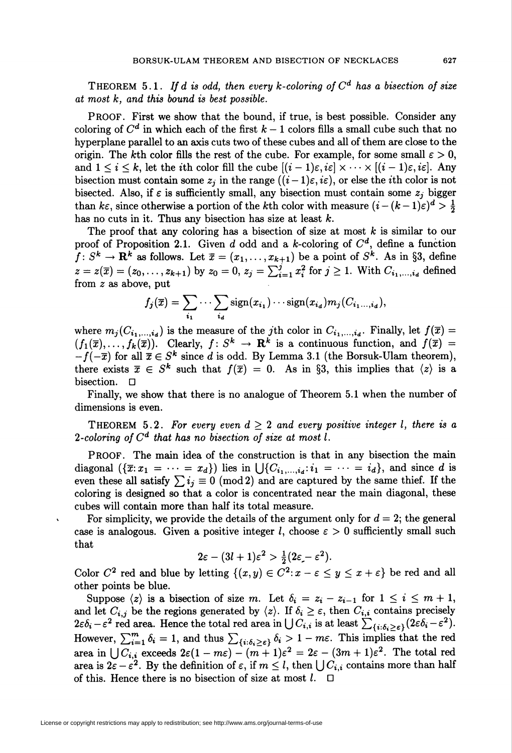THEOREM 5.1. If d is odd, then every k-coloring of  $C<sup>d</sup>$  has a bisection of size at most  $k$ , and this bound is best possible.

PROOF. First we show that the bound, if true, is best possible. Consider any coloring of  $C^d$  in which each of the first  $k-1$  colors fills a small cube such that no hyperplane parallel to an axis cuts two of these cubes and all of them are close to the origin. The kth color fills the rest of the cube. For example, for some small  $\varepsilon > 0$ , and  $1 \leq i \leq k$ , let the *i*th color fill the cube  $[(i-1)\varepsilon, i\varepsilon] \times \cdots \times [(i-1)\varepsilon, i\varepsilon]$ . Any bisection must contain some  $z_i$  in the range  $((i-1)\varepsilon, i\varepsilon)$ , or else the *i*th color is not bisected. Also, if  $\varepsilon$  is sufficiently small, any bisection must contain some  $z_j$  bigger than  $k\epsilon$ , since otherwise a portion of the kth color with measure  $(i - (k-1)\epsilon)^d > \frac{1}{2}$ has no cuts in it. Thus any bisection has size at least  $k$ .

The proof that any coloring has a bisection of size at most  $k$  is similar to our proof of Proposition 2.1. Given d odd and a k-coloring of  $C<sup>d</sup>$ , define a function  $f: S^k \to \mathbf{R}^k$  as follows. Let  $\bar{x} = (x_1, \ldots, x_{k+1})$  be a point of  $S^k$ . As in §3, define  $z = z(\bar{x}) = (z_0, \ldots, z_{k+1})$  by  $z_0 = 0, z_i = \sum_{i=1}^{j} x_i^2$  for  $j \ge 1$ . With  $C_{i_1, \ldots, i_d}$  defined from z as above, put

$$
f_j(\overline{x}) = \sum_{i_1} \cdots \sum_{i_d} sign(x_{i_1}) \cdots sign(x_{i_d}) m_j(C_{i_1...i_d}),
$$

where  $m_i(C_{i_1,\ldots,i_d})$  is the measure of the jth color in  $C_{i_1,\ldots,i_d}$ . Finally, let  $f(\overline{x})$  $(f_1(\bar{x}),..., f_k(\bar{x}))$ . Clearly,  $f: S^k \to \mathbb{R}^k$  is a continuous function, and  $f(\bar{x}) =$  $-f(-\overline{x})$  for all  $\overline{x} \in S^k$  since d is odd. By Lemma 3.1 (the Borsuk-Ulam theorem), there exists  $\bar{x} \in S^k$  such that  $f(\bar{x}) = 0$ . As in §3, this implies that  $\langle z \rangle$  is a bisection. D

Finally, we show that there is no analogue of Theorem 5.1 when the number of dimensions is even.

THEOREM 5.2. For every even  $d \geq 2$  and every positive integer l, there is a 2-coloring of  $C<sup>d</sup>$  that has no bisection of size at most l.

PROOF. The main idea of the construction is that in any bisection the main diagonal  $(\{\overline{x}:x_1 = \cdots = x_d\})$  lies in  $\bigcup \{C_{i_1,\ldots,i_d}:i_1 = \cdots = i_d\}$ , and since d is even these all satisfy  $\sum i_i \equiv 0 \pmod{2}$  and are captured by the same thief. If the coloring is designed so that a color is concentrated near the main diagonal, these cubes will contain more than half its total measure.

For simplicity, we provide the details of the argument only for  $d = 2$ ; the general case is analogous. Given a positive integer l, choose  $\varepsilon > 0$  sufficiently small such that

$$
2\varepsilon - (3l+1)\varepsilon^2 > \frac{1}{2}(2\varepsilon - \varepsilon^2).
$$

Color  $C^2$  red and blue by letting  $\{(x, y) \in C^2 : x - \varepsilon \le y \le x + \varepsilon\}$  be red and all other points be blue.

Suppose  $\langle z \rangle$  is a bisection of size m. Let  $\delta_i = z_i - z_{i-1}$  for  $1 \leq i \leq m+1$ , and let  $C_{i,j}$  be the regions generated by  $\langle z \rangle$ . If  $\delta_i \geq \varepsilon$ , then  $C_{i,i}$  contains precisely  $2\varepsilon \delta_i - \varepsilon^2$  red area. Hence the total red area in  $\bigcup C_{i,i}$  is at least  $\sum_{i,j}C_{i,j}(\varepsilon \delta_i - \varepsilon^2)$ . However,  $\sum_{i=1}^{m} \delta_i = 1$ , and thus  $\sum_{i: j: S_i > s} \delta_i > 1 - m\epsilon$ . This implies that the red area in  $\int_{i}^{1} C_{i,i}$  exceeds  $2\varepsilon(1 - m\varepsilon) - (m + 1)\varepsilon^2 = 2\varepsilon - (3m + 1)\varepsilon^2$ . The total red area is  $2\varepsilon - \varepsilon^2$ . By the definition of  $\varepsilon$ , if  $m \leq l$ , then  $\bigcup C_{i,i}$  contains more than half of this. Hence there is no bisection of size at most  $l$ .  $\Box$